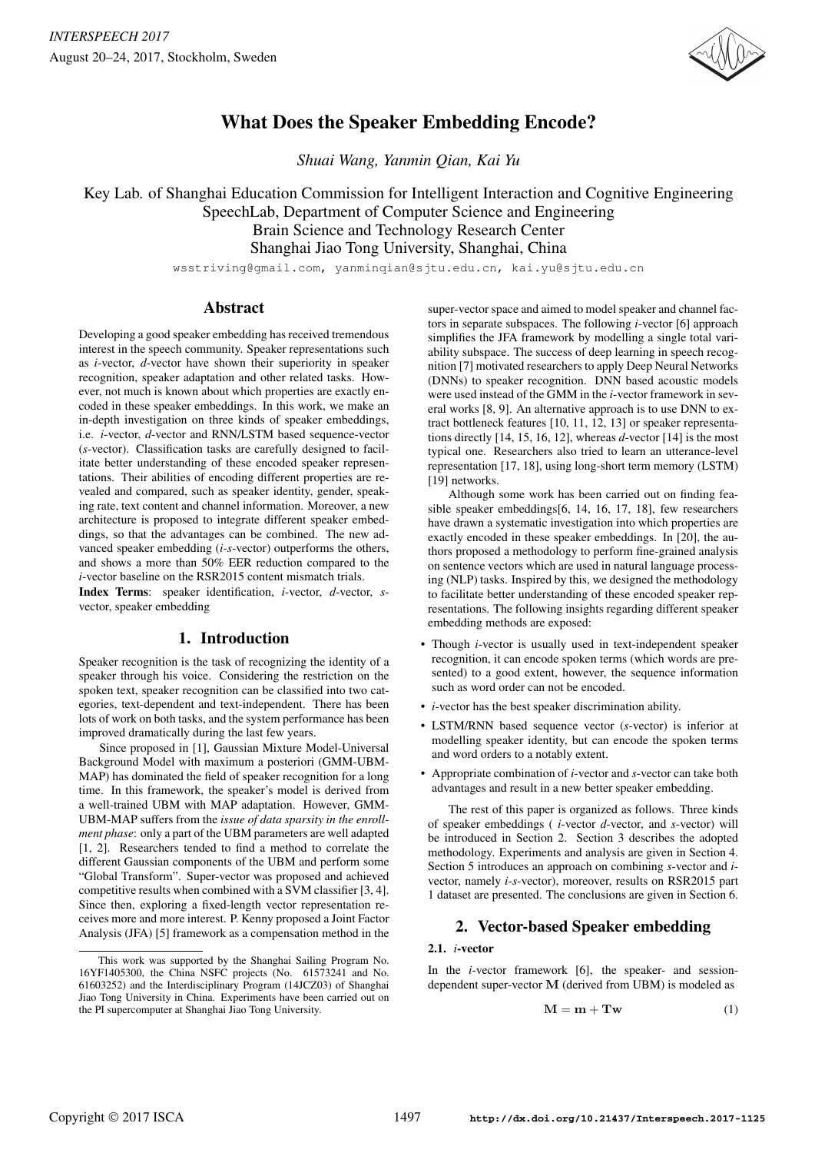

# What Does the Speaker Embedding Encode?

*Shuai Wang, Yanmin Qian, Kai Yu*

Key Lab. of Shanghai Education Commission for Intelligent Interaction and Cognitive Engineering SpeechLab, Department of Computer Science and Engineering Brain Science and Technology Research Center Shanghai Jiao Tong University, Shanghai, China

wsstriving@gmail.com, yanminqian@sjtu.edu.cn, kai.yu@sjtu.edu.cn

# Abstract

Developing a good speaker embedding has received tremendous interest in the speech community. Speaker representations such as *i*-vector, *d*-vector have shown their superiority in speaker recognition, speaker adaptation and other related tasks. However, not much is known about which properties are exactly encoded in these speaker embeddings. In this work, we make an in-depth investigation on three kinds of speaker embeddings, i.e. *i*-vector, *d*-vector and RNN/LSTM based sequence-vector (*s*-vector). Classification tasks are carefully designed to facilitate better understanding of these encoded speaker representations. Their abilities of encoding different properties are revealed and compared, such as speaker identity, gender, speaking rate, text content and channel information. Moreover, a new architecture is proposed to integrate different speaker embeddings, so that the advantages can be combined. The new advanced speaker embedding (*i-s*-vector) outperforms the others, and shows a more than 50% EER reduction compared to the *i*-vector baseline on the RSR2015 content mismatch trials.

Index Terms: speaker identification, *i*-vector, *d*-vector, *s*vector, speaker embedding

# 1. Introduction

Speaker recognition is the task of recognizing the identity of a speaker through his voice. Considering the restriction on the spoken text, speaker recognition can be classified into two categories, text-dependent and text-independent. There has been lots of work on both tasks, and the system performance has been improved dramatically during the last few years.

Since proposed in [1], Gaussian Mixture Model-Universal Background Model with maximum a posteriori (GMM-UBM-MAP) has dominated the field of speaker recognition for a long time. In this framework, the speaker's model is derived from a well-trained UBM with MAP adaptation. However, GMM-UBM-MAP suffers from the *issue of data sparsity in the enrollment phase*: only a part of the UBM parameters are well adapted [1, 2]. Researchers tended to find a method to correlate the different Gaussian components of the UBM and perform some "Global Transform". Super-vector was proposed and achieved competitive results when combined with a SVM classifier [3, 4]. Since then, exploring a fixed-length vector representation receives more and more interest. P. Kenny proposed a Joint Factor Analysis (JFA) [5] framework as a compensation method in the super-vector space and aimed to model speaker and channel factors in separate subspaces. The following *i*-vector [6] approach simplifies the JFA framework by modelling a single total variability subspace. The success of deep learning in speech recognition [7] motivated researchers to apply Deep Neural Networks (DNNs) to speaker recognition. DNN based acoustic models were used instead of the GMM in the *i*-vector framework in several works [8, 9]. An alternative approach is to use DNN to extract bottleneck features [10, 11, 12, 13] or speaker representations directly [14, 15, 16, 12], whereas *d*-vector [14] is the most typical one. Researchers also tried to learn an utterance-level representation [17, 18], using long-short term memory (LSTM) [19] networks.

Although some work has been carried out on finding feasible speaker embeddings[6, 14, 16, 17, 18], few researchers have drawn a systematic investigation into which properties are exactly encoded in these speaker embeddings. In [20], the authors proposed a methodology to perform fine-grained analysis on sentence vectors which are used in natural language processing (NLP) tasks. Inspired by this, we designed the methodology to facilitate better understanding of these encoded speaker representations. The following insights regarding different speaker embedding methods are exposed:

- Though *i*-vector is usually used in text-independent speaker recognition, it can encode spoken terms (which words are presented) to a good extent, however, the sequence information such as word order can not be encoded.
- *i*-vector has the best speaker discrimination ability.
- LSTM/RNN based sequence vector (*s*-vector) is inferior at modelling speaker identity, but can encode the spoken terms and word orders to a notably extent.
- Appropriate combination of *i*-vector and *s*-vector can take both advantages and result in a new better speaker embedding.

The rest of this paper is organized as follows. Three kinds of speaker embeddings ( *i*-vector *d*-vector, and *s*-vector) will be introduced in Section 2. Section 3 describes the adopted methodology. Experiments and analysis are given in Section 4. Section 5 introduces an approach on combining *s*-vector and *i*vector, namely *i-s*-vector), moreover, results on RSR2015 part 1 dataset are presented. The conclusions are given in Section 6.

# 2. Vector-based Speaker embedding

# 2.1. *i*-vector

In the *i*-vector framework [6], the speaker- and sessiondependent super-vector M (derived from UBM) is modeled as

$$
M = m + Tw
$$
 (1)

This work was supported by the Shanghai Sailing Program No. 16YF1405300, the China NSFC projects (No. 61573241 and No. 61603252) and the Interdisciplinary Program (14JCZ03) of Shanghai Jiao Tong University in China. Experiments have been carried out on the PI supercomputer at Shanghai Jiao Tong University.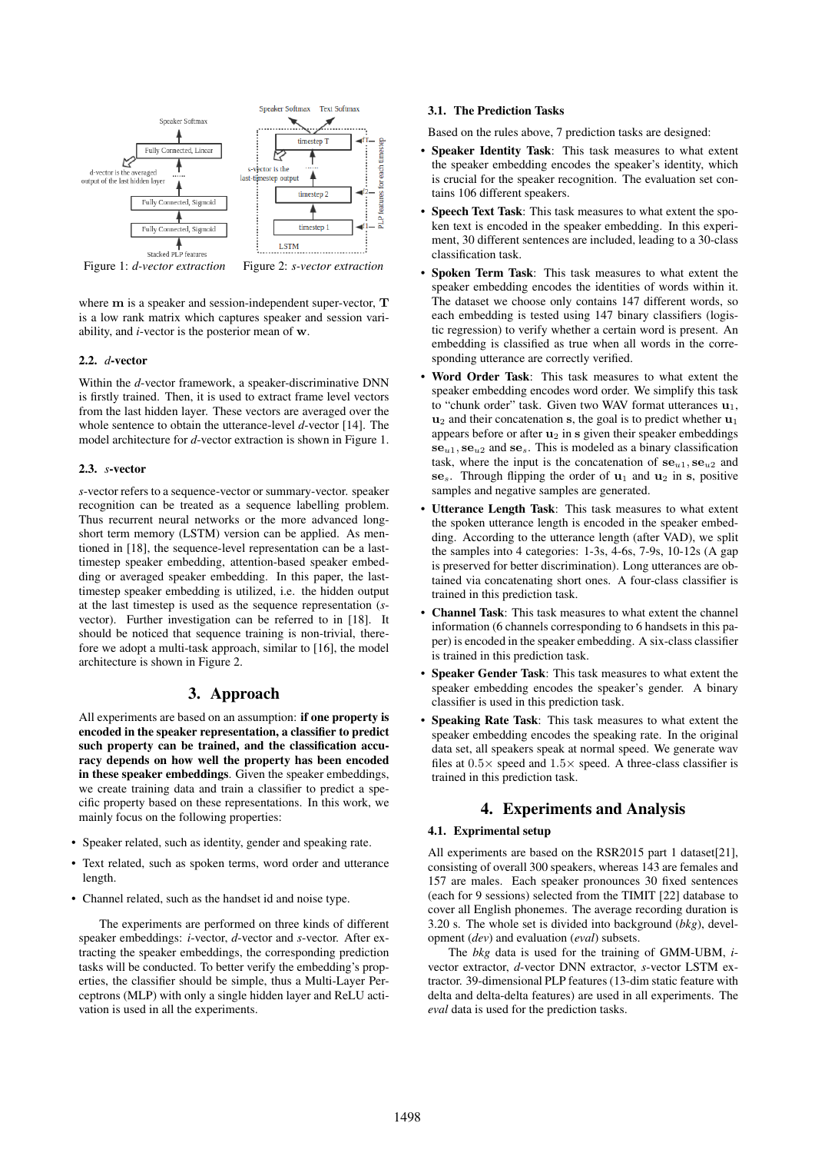

Figure 1: *d-vector extraction* Figure 2: *s-vector extraction*

where m is a speaker and session-independent super-vector, T is a low rank matrix which captures speaker and session variability, and *i*-vector is the posterior mean of w.

### 2.2. *d*-vector

Within the *d*-vector framework, a speaker-discriminative DNN is firstly trained. Then, it is used to extract frame level vectors from the last hidden layer. These vectors are averaged over the whole sentence to obtain the utterance-level *d*-vector [14]. The model architecture for *d*-vector extraction is shown in Figure 1.

### 2.3. *s*-vector

*s*-vector refers to a sequence-vector or summary-vector. speaker recognition can be treated as a sequence labelling problem. Thus recurrent neural networks or the more advanced longshort term memory (LSTM) version can be applied. As mentioned in [18], the sequence-level representation can be a lasttimestep speaker embedding, attention-based speaker embedding or averaged speaker embedding. In this paper, the lasttimestep speaker embedding is utilized, i.e. the hidden output at the last timestep is used as the sequence representation (*s*vector). Further investigation can be referred to in [18]. It should be noticed that sequence training is non-trivial, therefore we adopt a multi-task approach, similar to [16], the model architecture is shown in Figure 2.

# 3. Approach

All experiments are based on an assumption: if one property is encoded in the speaker representation, a classifier to predict such property can be trained, and the classification accuracy depends on how well the property has been encoded in these speaker embeddings. Given the speaker embeddings, we create training data and train a classifier to predict a specific property based on these representations. In this work, we mainly focus on the following properties:

- Speaker related, such as identity, gender and speaking rate.
- Text related, such as spoken terms, word order and utterance length.
- Channel related, such as the handset id and noise type.

The experiments are performed on three kinds of different speaker embeddings: *i*-vector, *d*-vector and *s*-vector. After extracting the speaker embeddings, the corresponding prediction tasks will be conducted. To better verify the embedding's properties, the classifier should be simple, thus a Multi-Layer Perceptrons (MLP) with only a single hidden layer and ReLU activation is used in all the experiments.

### 3.1. The Prediction Tasks

Based on the rules above, 7 prediction tasks are designed:

- Speaker Identity Task: This task measures to what extent the speaker embedding encodes the speaker's identity, which is crucial for the speaker recognition. The evaluation set contains 106 different speakers.
- Speech Text Task: This task measures to what extent the spoken text is encoded in the speaker embedding. In this experiment, 30 different sentences are included, leading to a 30-class classification task.
- Spoken Term Task: This task measures to what extent the speaker embedding encodes the identities of words within it. The dataset we choose only contains 147 different words, so each embedding is tested using 147 binary classifiers (logistic regression) to verify whether a certain word is present. An embedding is classified as true when all words in the corresponding utterance are correctly verified.
- Word Order Task: This task measures to what extent the speaker embedding encodes word order. We simplify this task to "chunk order" task. Given two WAV format utterances  $\mathbf{u}_1$ ,  $u_2$  and their concatenation s, the goal is to predict whether  $u_1$ appears before or after  $u_2$  in s given their speaker embeddings  $se_{u1}, se_{u2}$  and  $se_s$ . This is modeled as a binary classification task, where the input is the concatenation of  $se_{u1}$ ,  $se_{u2}$  and se<sub>s</sub>. Through flipping the order of  $u_1$  and  $u_2$  in s, positive samples and negative samples are generated.
- Utterance Length Task: This task measures to what extent the spoken utterance length is encoded in the speaker embedding. According to the utterance length (after VAD), we split the samples into 4 categories: 1-3s, 4-6s, 7-9s, 10-12s (A gap is preserved for better discrimination). Long utterances are obtained via concatenating short ones. A four-class classifier is trained in this prediction task.
- Channel Task: This task measures to what extent the channel information (6 channels corresponding to 6 handsets in this paper) is encoded in the speaker embedding. A six-class classifier is trained in this prediction task.
- Speaker Gender Task: This task measures to what extent the speaker embedding encodes the speaker's gender. A binary classifier is used in this prediction task.
- Speaking Rate Task: This task measures to what extent the speaker embedding encodes the speaking rate. In the original data set, all speakers speak at normal speed. We generate wav files at  $0.5 \times$  speed and  $1.5 \times$  speed. A three-class classifier is trained in this prediction task.

# 4. Experiments and Analysis

# 4.1. Exprimental setup

All experiments are based on the RSR2015 part 1 dataset[21], consisting of overall 300 speakers, whereas 143 are females and 157 are males. Each speaker pronounces 30 fixed sentences (each for 9 sessions) selected from the TIMIT [22] database to cover all English phonemes. The average recording duration is 3.20 s. The whole set is divided into background (*bkg*), development (*dev*) and evaluation (*eval*) subsets.

The *bkg* data is used for the training of GMM-UBM, *i*vector extractor, *d*-vector DNN extractor, *s*-vector LSTM extractor. 39-dimensional PLP features (13-dim static feature with delta and delta-delta features) are used in all experiments. The *eval* data is used for the prediction tasks.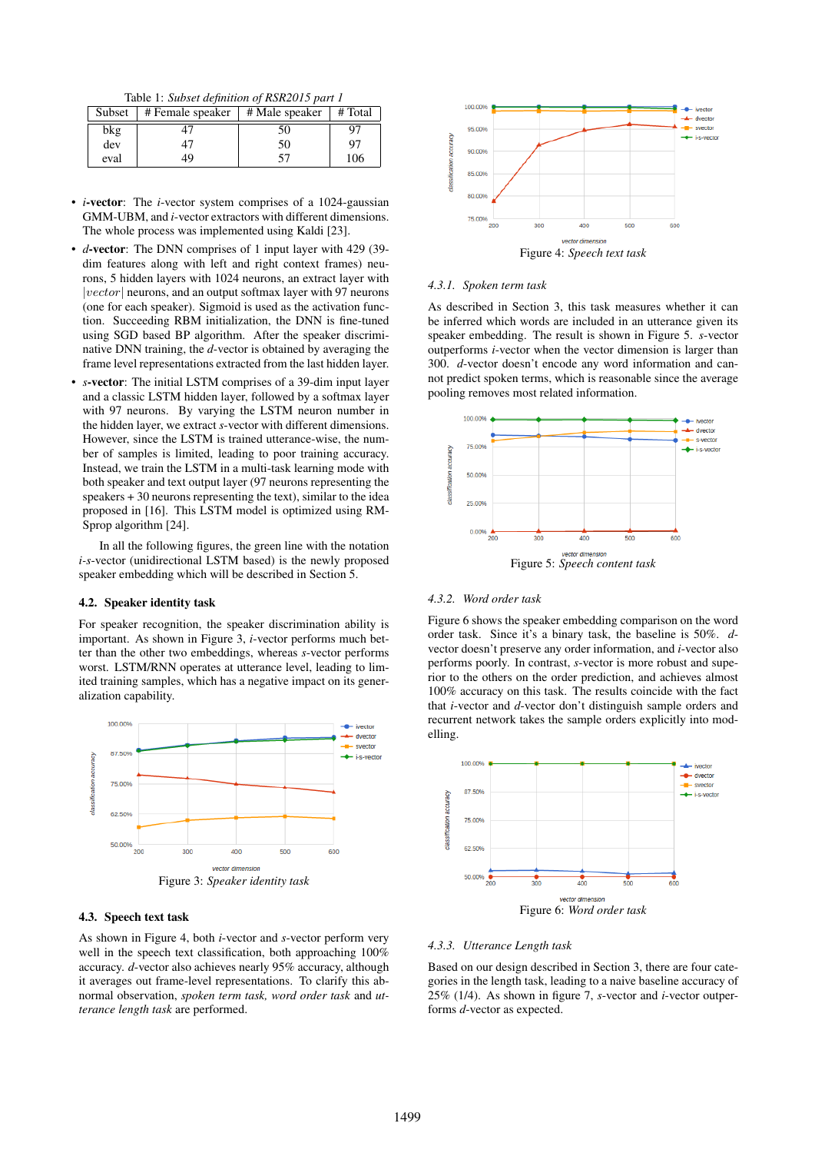Table 1: *Subset definition of RSR2015 part 1*

|      | Subset   # Female speaker   # Male speaker   # Total |    |     |
|------|------------------------------------------------------|----|-----|
| bkg  |                                                      | 50 |     |
| dev  |                                                      | 50 | 97  |
| eval | 49                                                   | 57 | 106 |

- *i*-vector: The *i*-vector system comprises of a 1024-gaussian GMM-UBM, and *i*-vector extractors with different dimensions. The whole process was implemented using Kaldi [23].
- *d*-vector: The DNN comprises of 1 input layer with 429 (39 dim features along with left and right context frames) neurons, 5 hidden layers with 1024 neurons, an extract layer with |vector| neurons, and an output softmax layer with 97 neurons (one for each speaker). Sigmoid is used as the activation function. Succeeding RBM initialization, the DNN is fine-tuned using SGD based BP algorithm. After the speaker discriminative DNN training, the *d*-vector is obtained by averaging the frame level representations extracted from the last hidden layer.
- *s*-vector: The initial LSTM comprises of a 39-dim input layer and a classic LSTM hidden layer, followed by a softmax layer with 97 neurons. By varying the LSTM neuron number in the hidden layer, we extract *s*-vector with different dimensions. However, since the LSTM is trained utterance-wise, the number of samples is limited, leading to poor training accuracy. Instead, we train the LSTM in a multi-task learning mode with both speaker and text output layer (97 neurons representing the speakers + 30 neurons representing the text), similar to the idea proposed in [16]. This LSTM model is optimized using RM-Sprop algorithm [24].

In all the following figures, the green line with the notation *i-s*-vector (unidirectional LSTM based) is the newly proposed speaker embedding which will be described in Section 5.

#### 4.2. Speaker identity task

For speaker recognition, the speaker discrimination ability is important. As shown in Figure 3, *i*-vector performs much better than the other two embeddings, whereas *s*-vector performs worst. LSTM/RNN operates at utterance level, leading to limited training samples, which has a negative impact on its generalization capability.



#### 4.3. Speech text task

As shown in Figure 4, both *i*-vector and *s*-vector perform very well in the speech text classification, both approaching  $100\%$ accuracy. *d*-vector also achieves nearly 95% accuracy, although it averages out frame-level representations. To clarify this abnormal observation, *spoken term task, word order task* and *utterance length task* are performed.



#### *4.3.1. Spoken term task*

As described in Section 3, this task measures whether it can be inferred which words are included in an utterance given its speaker embedding. The result is shown in Figure 5. *s*-vector outperforms *i*-vector when the vector dimension is larger than 300. *d*-vector doesn't encode any word information and cannot predict spoken terms, which is reasonable since the average pooling removes most related information.



#### *4.3.2. Word order task*

Figure 6 shows the speaker embedding comparison on the word order task. Since it's a binary task, the baseline is 50%. *d*vector doesn't preserve any order information, and *i*-vector also performs poorly. In contrast, *s*-vector is more robust and superior to the others on the order prediction, and achieves almost 100% accuracy on this task. The results coincide with the fact that *i*-vector and *d*-vector don't distinguish sample orders and recurrent network takes the sample orders explicitly into modelling.



#### *4.3.3. Utterance Length task*

Based on our design described in Section 3, there are four categories in the length task, leading to a naive baseline accuracy of 25% (1/4). As shown in figure 7, *s*-vector and *i*-vector outperforms *d*-vector as expected.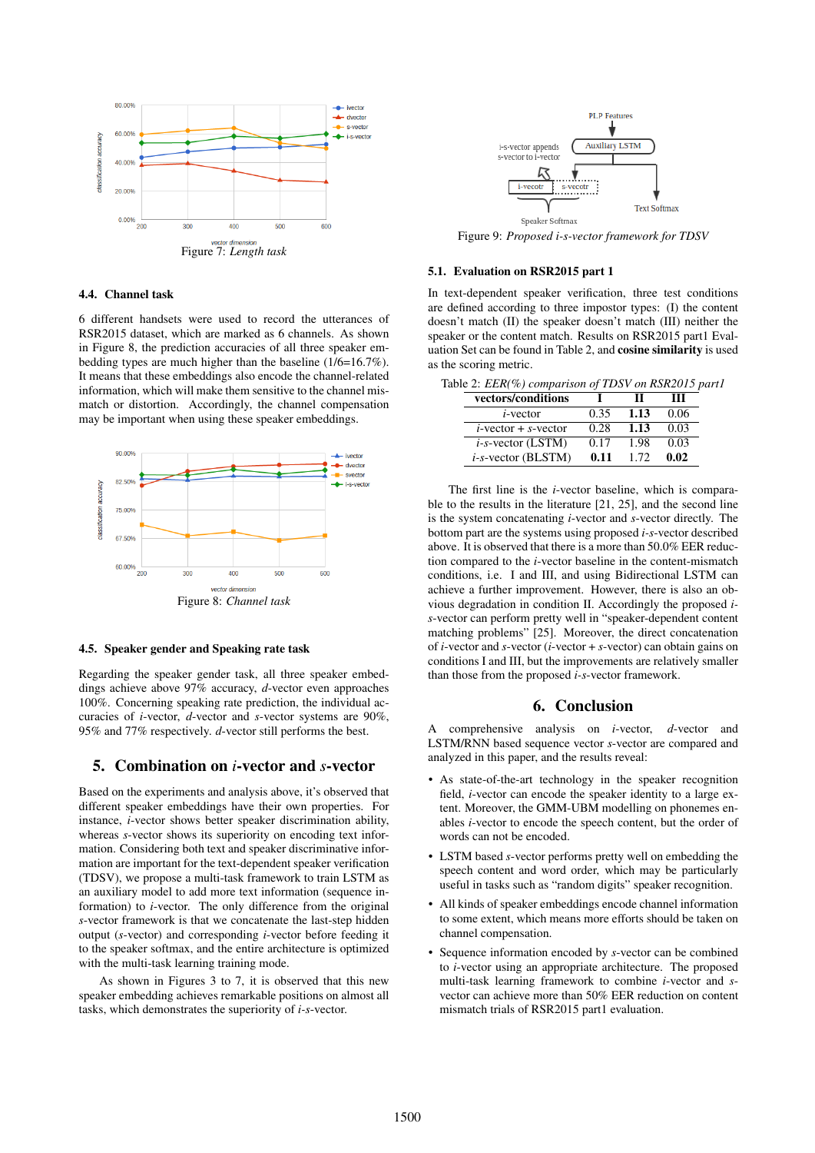

### 4.4. Channel task

6 different handsets were used to record the utterances of RSR2015 dataset, which are marked as 6 channels. As shown in Figure 8, the prediction accuracies of all three speaker embedding types are much higher than the baseline (1/6=16.7%). It means that these embeddings also encode the channel-related information, which will make them sensitive to the channel mismatch or distortion. Accordingly, the channel compensation may be important when using these speaker embeddings.



#### 4.5. Speaker gender and Speaking rate task

Regarding the speaker gender task, all three speaker embeddings achieve above 97% accuracy, *d*-vector even approaches 100%. Concerning speaking rate prediction, the individual accuracies of *i*-vector, *d*-vector and *s*-vector systems are 90%, 95% and 77% respectively. *d*-vector still performs the best.

## 5. Combination on *i*-vector and *s*-vector

Based on the experiments and analysis above, it's observed that different speaker embeddings have their own properties. For instance, *i*-vector shows better speaker discrimination ability, whereas *s*-vector shows its superiority on encoding text information. Considering both text and speaker discriminative information are important for the text-dependent speaker verification (TDSV), we propose a multi-task framework to train LSTM as an auxiliary model to add more text information (sequence information) to *i*-vector. The only difference from the original *s*-vector framework is that we concatenate the last-step hidden output (*s*-vector) and corresponding *i*-vector before feeding it to the speaker softmax, and the entire architecture is optimized with the multi-task learning training mode.

As shown in Figures 3 to 7, it is observed that this new speaker embedding achieves remarkable positions on almost all tasks, which demonstrates the superiority of *i-s*-vector.



Figure 9: *Proposed i-s-vector framework for TDSV*

#### 5.1. Evaluation on RSR2015 part 1

In text-dependent speaker verification, three test conditions are defined according to three impostor types: (I) the content doesn't match (II) the speaker doesn't match (III) neither the speaker or the content match. Results on RSR2015 part1 Evaluation Set can be found in Table 2, and cosine similarity is used as the scoring metric.

| Table 2: EER(%) comparison of TDSV on RSR2015 part1 |      |      |      |  |
|-----------------------------------------------------|------|------|------|--|
| vectors/conditions                                  |      | ш    | ш    |  |
| $i$ -vector                                         | 0.35 | 1.13 | 0.06 |  |
| $i$ -vector + $s$ -vector                           | 0.28 | 1.13 | 0.03 |  |
| $i$ -s-vector (LSTM)                                | 0.17 | 1.98 | 0.03 |  |
| $i$ -s-vector (BLSTM)                               | 0.11 | 1.72 | 0.02 |  |

The first line is the *i*-vector baseline, which is comparable to the results in the literature [21, 25], and the second line is the system concatenating *i*-vector and *s*-vector directly. The bottom part are the systems using proposed *i-s*-vector described above. It is observed that there is a more than 50.0% EER reduction compared to the *i*-vector baseline in the content-mismatch conditions, i.e. I and III, and using Bidirectional LSTM can achieve a further improvement. However, there is also an obvious degradation in condition II. Accordingly the proposed *is*-vector can perform pretty well in "speaker-dependent content matching problems" [25]. Moreover, the direct concatenation of *i*-vector and *s*-vector (*i*-vector + *s*-vector) can obtain gains on conditions I and III, but the improvements are relatively smaller than those from the proposed *i-s*-vector framework.

### 6. Conclusion

A comprehensive analysis on *i*-vector, *d*-vector and LSTM/RNN based sequence vector *s*-vector are compared and analyzed in this paper, and the results reveal:

- As state-of-the-art technology in the speaker recognition field, *i*-vector can encode the speaker identity to a large extent. Moreover, the GMM-UBM modelling on phonemes enables *i*-vector to encode the speech content, but the order of words can not be encoded.
- LSTM based *s*-vector performs pretty well on embedding the speech content and word order, which may be particularly useful in tasks such as "random digits" speaker recognition.
- All kinds of speaker embeddings encode channel information to some extent, which means more efforts should be taken on channel compensation.
- Sequence information encoded by *s*-vector can be combined to *i*-vector using an appropriate architecture. The proposed multi-task learning framework to combine *i*-vector and *s*vector can achieve more than 50% EER reduction on content mismatch trials of RSR2015 part1 evaluation.